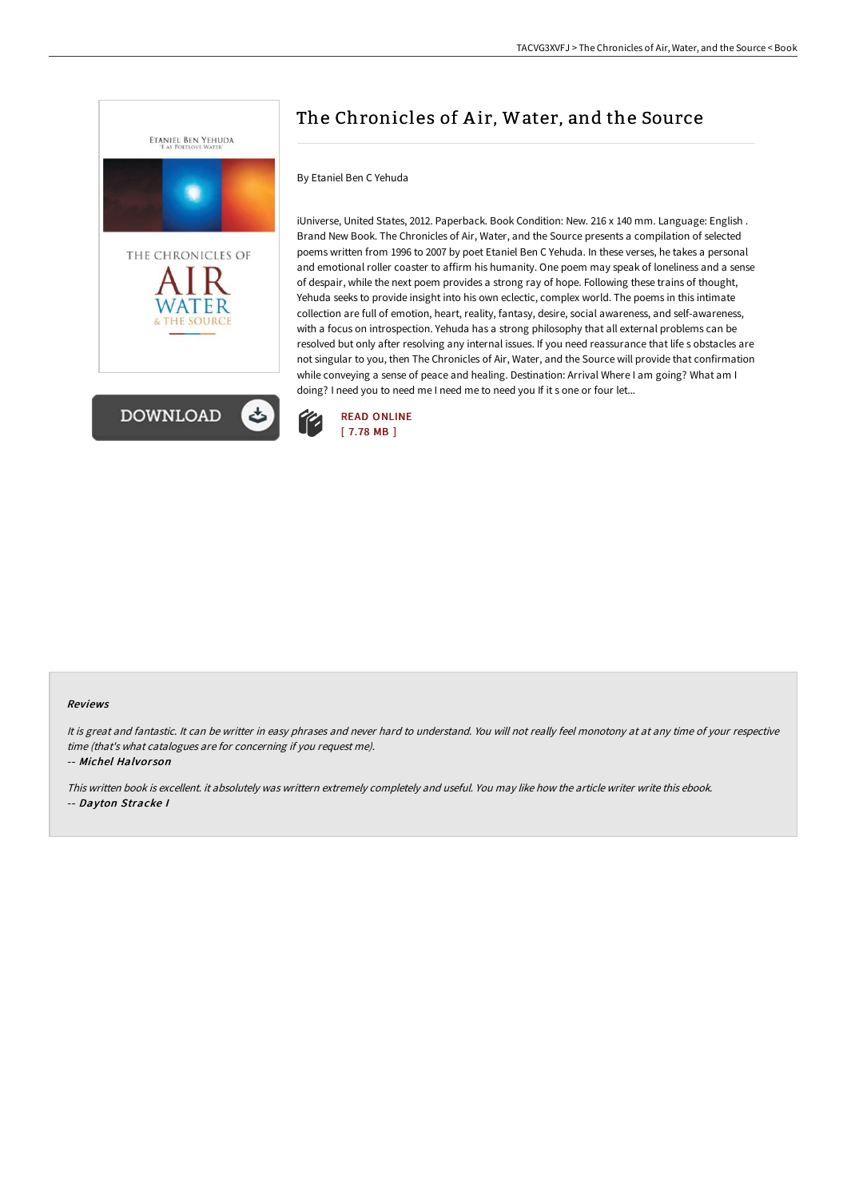

# The Chronicles of Air, Water, and the Source

### By Etaniel Ben C Yehuda

iUniverse, United States, 2012. Paperback. Book Condition: New. 216 x 140 mm. Language: English . Brand New Book. The Chronicles of Air, Water, and the Source presents a compilation of selected poems written from 1996 to 2007 by poet Etaniel Ben C Yehuda. In these verses, he takes a personal and emotional roller coaster to affirm his humanity. One poem may speak of loneliness and a sense of despair, while the next poem provides a strong ray of hope. Following these trains of thought, Yehuda seeks to provide insight into his own eclectic, complex world. The poems in this intimate collection are full of emotion, heart, reality, fantasy, desire, social awareness, and self-awareness, with a focus on introspection. Yehuda has a strong philosophy that all external problems can be resolved but only after resolving any internal issues. If you need reassurance that life s obstacles are not singular to you, then The Chronicles of Air, Water, and the Source will provide that confirmation while conveying a sense of peace and healing. Destination: Arrival Where I am going? What am I doing? I need you to need me I need me to need you If it s one or four let...



#### Reviews

It is great and fantastic. It can be writter in easy phrases and never hard to understand. You will not really feel monotony at at any time of your respective time (that's what catalogues are for concerning if you request me).

-- Michel Halvor son

This written book is excellent. it absolutely was writtern extremely completely and useful. You may like how the article writer write this ebook. -- Dayton Stracke I